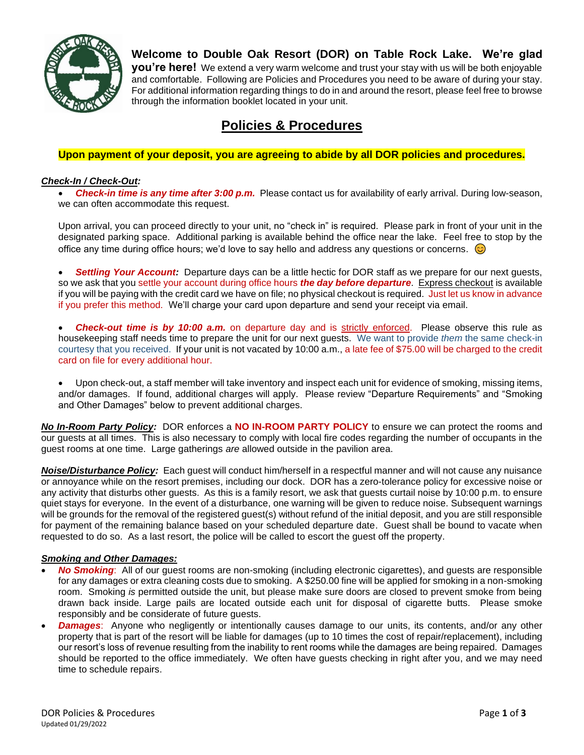

# **Welcome to Double Oak Resort (DOR) on Table Rock Lake. We're glad**

**you're here!** We extend a very warm welcome and trust your stay with us will be both enjoyable and comfortable. Following are Policies and Procedures you need to be aware of during your stay. For additional information regarding things to do in and around the resort, please feel free to browse through the information booklet located in your unit.

# **Policies & Procedures**

## **Upon payment of your deposit, you are agreeing to abide by all DOR policies and procedures.**

### *Check-In / Check-Out:*

• *Check-in time is any time after 3:00 p.m.* Please contact us for availability of early arrival. During low-season, we can often accommodate this request.

Upon arrival, you can proceed directly to your unit, no "check in" is required. Please park in front of your unit in the designated parking space. Additional parking is available behind the office near the lake. Feel free to stop by the office any time during office hours; we'd love to say hello and address any questions or concerns.  $\odot$ 

• *Settling Your Account:* Departure days can be a little hectic for DOR staff as we prepare for our next guests, so we ask that you settle your account during office hours *the day before departure*. Express checkout is available if you will be paying with the credit card we have on file; no physical checkout is required. Just let us know in advance if you prefer this method. We'll charge your card upon departure and send your receipt via email.

• *Check-out time is by 10:00 a.m.* on departure day and is strictly enforced. Please observe this rule as housekeeping staff needs time to prepare the unit for our next guests. We want to provide *them* the same check-in courtesy that you received. If your unit is not vacated by 10:00 a.m., a late fee of \$75.00 will be charged to the credit card on file for every additional hour.

• Upon check-out, a staff member will take inventory and inspect each unit for evidence of smoking, missing items, and/or damages. If found, additional charges will apply. Please review "Departure Requirements" and "Smoking and Other Damages" below to prevent additional charges.

*No In-Room Party Policy:* DOR enforces a **NO IN-ROOM PARTY POLICY** to ensure we can protect the rooms and our guests at all times. This is also necessary to comply with local fire codes regarding the number of occupants in the guest rooms at one time. Large gatherings *are* allowed outside in the pavilion area.

*Noise/Disturbance Policy:* Each guest will conduct him/herself in a respectful manner and will not cause any nuisance or annoyance while on the resort premises, including our dock. DOR has a zero-tolerance policy for excessive noise or any activity that disturbs other guests. As this is a family resort, we ask that guests curtail noise by 10:00 p.m. to ensure quiet stays for everyone. In the event of a disturbance, one warning will be given to reduce noise. Subsequent warnings will be grounds for the removal of the registered guest(s) without refund of the initial deposit, and you are still responsible for payment of the remaining balance based on your scheduled departure date. Guest shall be bound to vacate when requested to do so. As a last resort, the police will be called to escort the guest off the property.

#### *Smoking and Other Damages:*

- *No Smoking*: All of our guest rooms are non-smoking (including electronic cigarettes), and guests are responsible for any damages or extra cleaning costs due to smoking. A \$250.00 fine will be applied for smoking in a non-smoking room. Smoking *is* permitted outside the unit, but please make sure doors are closed to prevent smoke from being drawn back inside. Large pails are located outside each unit for disposal of cigarette butts. Please smoke responsibly and be considerate of future guests.
- *Damages*: Anyone who negligently or intentionally causes damage to our units, its contents, and/or any other property that is part of the resort will be liable for damages (up to 10 times the cost of repair/replacement), including our resort's loss of revenue resulting from the inability to rent rooms while the damages are being repaired. Damages should be reported to the office immediately. We often have guests checking in right after you, and we may need time to schedule repairs.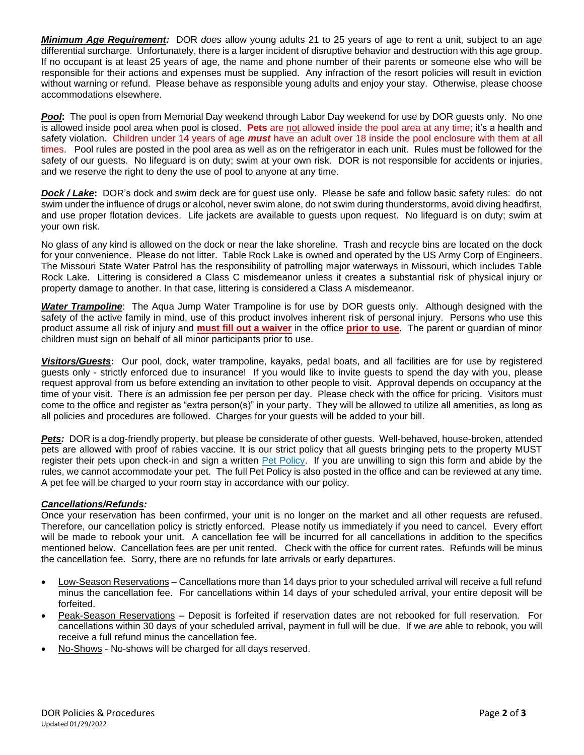*Minimum Age Requirement:* DOR *does* allow young adults 21 to 25 years of age to rent a unit, subject to an age differential surcharge. Unfortunately, there is a larger incident of disruptive behavior and destruction with this age group. If no occupant is at least 25 years of age, the name and phone number of their parents or someone else who will be responsible for their actions and expenses must be supplied. Any infraction of the resort policies will result in eviction without warning or refund. Please behave as responsible young adults and enjoy your stay. Otherwise, please choose accommodations elsewhere.

*Pool***:** The pool is open from Memorial Day weekend through Labor Day weekend for use by DOR guests only. No one is allowed inside pool area when pool is closed. **Pets** are not allowed inside the pool area at any time; it's a health and safety violation.Children under 14 years of age *must* have an adult over 18 inside the pool enclosure with them at all times. Pool rules are posted in the pool area as well as on the refrigerator in each unit. Rules must be followed for the safety of our guests. No lifeguard is on duty; swim at your own risk. DOR is not responsible for accidents or injuries, and we reserve the right to deny the use of pool to anyone at any time.

*Dock / Lake***:** DOR's dock and swim deck are for guest use only. Please be safe and follow basic safety rules: do not swim under the influence of drugs or alcohol, never swim alone, do not swim during thunderstorms, avoid diving headfirst, and use proper flotation devices. Life jackets are available to guests upon request. No lifeguard is on duty; swim at your own risk.

No glass of any kind is allowed on the dock or near the lake shoreline. Trash and recycle bins are located on the dock for your convenience. Please do not litter. Table Rock Lake is owned and operated by the US Army Corp of Engineers. The Missouri State Water Patrol has the responsibility of patrolling major waterways in Missouri, which includes Table Rock Lake. Littering is considered a Class C misdemeanor unless it creates a substantial risk of physical injury or property damage to another. In that case, littering is considered a Class A misdemeanor.

*Water Trampoline*: The Aqua Jump Water Trampoline is for use by DOR guests only. Although designed with the safety of the active family in mind, use of this product involves inherent risk of personal injury. Persons who use this product assume all risk of injury and **must fill out a waiver** in the office **prior to use**. The parent or guardian of minor children must sign on behalf of all minor participants prior to use.

*Visitors/Guests***:** Our pool, dock, water trampoline, kayaks, pedal boats, and all facilities are for use by registered guests only - strictly enforced due to insurance! If you would like to invite guests to spend the day with you, please request approval from us before extending an invitation to other people to visit. Approval depends on occupancy at the time of your visit. There *is* an admission fee per person per day. Please check with the office for pricing. Visitors must come to the office and register as "extra person(s)" in your party. They will be allowed to utilize all amenities, as long as all policies and procedures are followed. Charges for your guests will be added to your bill.

**Pets:** DOR is a dog-friendly property, but please be considerate of other guests. Well-behaved, house-broken, attended pets are allowed with proof of rabies vaccine. It is our strict policy that all guests bringing pets to the property MUST register their pets upon check-in and sign a written [Pet Policy.](https://doubleoakresort.net/wp-content/uploads/2021/09/2022-DOR-Pet-Policy.pdf) If you are unwilling to sign this form and abide by the rules, we cannot accommodate your pet. The full Pet Policy is also posted in the office and can be reviewed at any time. A pet fee will be charged to your room stay in accordance with our policy.

### *Cancellations/Refunds:*

Once your reservation has been confirmed, your unit is no longer on the market and all other requests are refused. Therefore, our cancellation policy is strictly enforced. Please notify us immediately if you need to cancel. Every effort will be made to rebook your unit. A cancellation fee will be incurred for all cancellations in addition to the specifics mentioned below. Cancellation fees are per unit rented. Check with the office for current rates. Refunds will be minus the cancellation fee. Sorry, there are no refunds for late arrivals or early departures.

- Low-Season Reservations Cancellations more than 14 days prior to your scheduled arrival will receive a full refund minus the cancellation fee. For cancellations within 14 days of your scheduled arrival, your entire deposit will be forfeited.
- Peak-Season Reservations Deposit is forfeited if reservation dates are not rebooked for full reservation. For cancellations within 30 days of your scheduled arrival, payment in full will be due. If we *are* able to rebook, you will receive a full refund minus the cancellation fee.
- No-Shows No-shows will be charged for all days reserved.